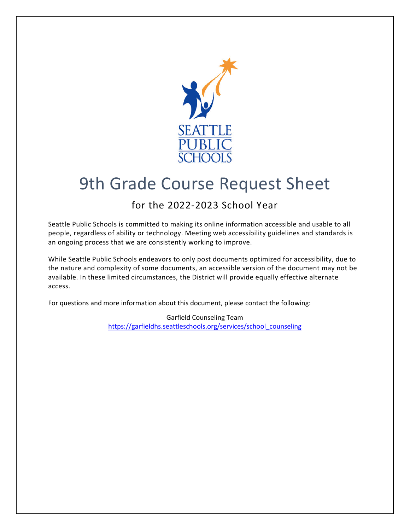

## 9th Grade Course Request Sheet

## for the 2022-2023 School Year

Seattle Public Schools is committed to making its online information accessible and usable to all people, regardless of ability or technology. Meeting web accessibility guidelines and standards is an ongoing process that we are consistently working to improve.

While Seattle Public Schools endeavors to only post documents optimized for accessibility, due to the nature and complexity of some documents, an accessible version of the document may not be available. In these limited circumstances, the District will provide equally effective alternate access.

For questions and more information about this document, please contact the following:

Garfield Counseling Team [https://garfieldhs.seattleschools.org/services/school\\_counseling](https://garfieldhs.seattleschools.org/services/school_counseling)